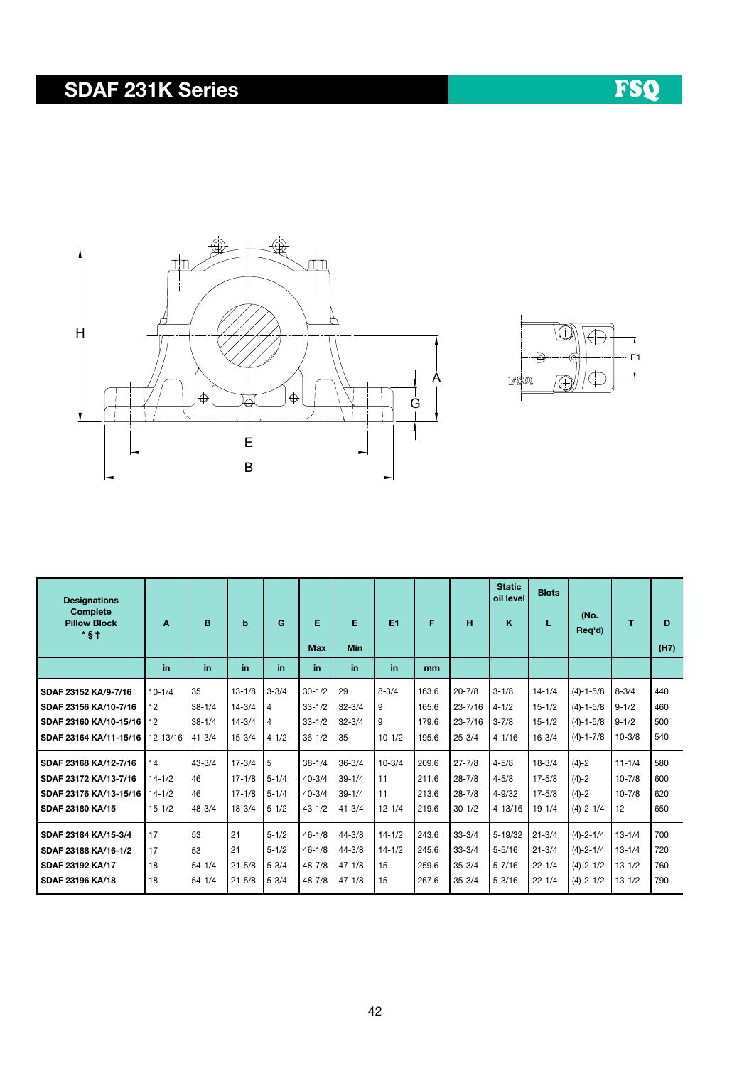## SDAF 231K Series





| <b>Designations</b>                              |            |            |            |                |            |            |            |       |             | <b>Static</b><br>oil level | <b>Blots</b> |                 |            |      |
|--------------------------------------------------|------------|------------|------------|----------------|------------|------------|------------|-------|-------------|----------------------------|--------------|-----------------|------------|------|
| <b>Complete</b><br><b>Pillow Block</b><br>$*$ §† | A          | B          | b          | G              | Е          | Е          | E1         | F     | н           | ĸ                          | L            | (No.<br>Reg'd)  | T          | D    |
|                                                  |            |            |            |                | <b>Max</b> | <b>Min</b> |            |       |             |                            |              |                 |            | (H7) |
|                                                  | in         | in         | in         | in.            | in         | in         | in         | mm    |             |                            |              |                 |            |      |
| SDAF 23152 KA/9-7/16                             | $10 - 1/4$ | 35         | $13 - 1/8$ | $3 - 3/4$      | $30 - 1/2$ | 29         | $8 - 3/4$  | 163.6 | $20 - 7/8$  | $3 - 1/8$                  | $14 - 1/4$   | $(4)-1-5/8$     | $8 - 3/4$  | 440  |
| SDAF 23156 KA/10-7/16                            | 12         | $38 - 1/4$ | $14 - 3/4$ | 4              | $33 - 1/2$ | $32 - 3/4$ | 9          | 165.6 | $23 - 7/16$ | $4 - 1/2$                  | $15 - 1/2$   | $(4)-1-5/8$     | $9 - 1/2$  | 460  |
| SDAF 23160 KA/10-15/16                           | 12         | $38 - 1/4$ | $14 - 3/4$ | $\overline{4}$ | $33 - 1/2$ | $32 - 3/4$ | 9          | 179.6 | $23 - 7/16$ | $3 - 7/8$                  | $15 - 1/2$   | $(4)-1-5/8$     | $9 - 1/2$  | 500  |
| SDAF 23164 KA/11-15/16                           | 12-13/16   | $41 - 3/4$ | $15 - 3/4$ | $4 - 1/2$      | $36 - 1/2$ | 35         | $10 - 1/2$ | 195.6 | $25 - 3/4$  | $4 - 1/16$                 | $16 - 3/4$   | $(4)-1-7/8$     | $10 - 3/8$ | 540  |
| SDAF 23168 KA/12-7/16                            | 14         | $43 - 3/4$ | $17 - 3/4$ | 5              | $38 - 1/4$ | $36 - 3/4$ | $10 - 3/4$ | 209.6 | $27 - 7/8$  | $4 - 5/8$                  | $18 - 3/4$   | $(4)-2$         | $11 - 1/4$ | 580  |
| SDAF 23172 KA/13-7/16                            | $14 - 1/2$ | 46         | $17 - 1/8$ | $5 - 1/4$      | $40 - 3/4$ | $39 - 1/4$ | 11         | 211.6 | $28 - 7/8$  | $4 - 5/8$                  | $17 - 5/8$   | $(4)-2$         | $10 - 7/8$ | 600  |
| SDAF 23176 KA/13-15/16                           | $14 - 1/2$ | 46         | $17 - 1/8$ | $5 - 1/4$      | $40 - 3/4$ | $39 - 1/4$ | 11         | 213.6 | $28 - 7/8$  | $4 - 9/32$                 | $17 - 5/8$   | $(4)-2$         | $10 - 7/8$ | 620  |
| SDAF 23180 KA/15                                 | $15 - 1/2$ | $48 - 3/4$ | $18 - 3/4$ | $5 - 1/2$      | $43 - 1/2$ | $41 - 3/4$ | $12 - 1/4$ | 219.6 | $30 - 1/2$  | $4 - 13/16$                | $19 - 1/4$   | $(4)-2-1/4$     | 12         | 650  |
| SDAF 23184 KA/15-3/4                             | 17         | 53         | 21         | $5 - 1/2$      | $46 - 1/8$ | $44 - 3/8$ | $14 - 1/2$ | 243.6 | $33 - 3/4$  | $5 - 19/32$                | $21 - 3/4$   | $(4)-2-1/4$     | $13 - 1/4$ | 700  |
| SDAF 23188 KA/16-1/2                             | 17         | 53         | 21         | $5 - 1/2$      | $46 - 1/8$ | $44 - 3/8$ | $14 - 1/2$ | 245.6 | $33 - 3/4$  | $5 - 5/16$                 | $21 - 3/4$   | $(4)-2-1/4$     | $13 - 1/4$ | 720  |
| SDAF 23192 KA/17                                 | 18         | $54 - 1/4$ | $21 - 5/8$ | $5 - 3/4$      | $48 - 7/8$ | $47 - 1/8$ | 15         | 259.6 | $35 - 3/4$  | $5 - 7/16$                 | $22 - 1/4$   | $(4) - 2 - 1/2$ | $13 - 1/2$ | 760  |
| SDAF 23196 KA/18                                 | 18         | $54 - 1/4$ | $21 - 5/8$ | $5 - 3/4$      | $48 - 7/8$ | $47 - 1/8$ | 15         | 267.6 | $35 - 3/4$  | $5 - 3/16$                 | $22 - 1/4$   | $(4)-2-1/2$     | $13 - 1/2$ | 790  |